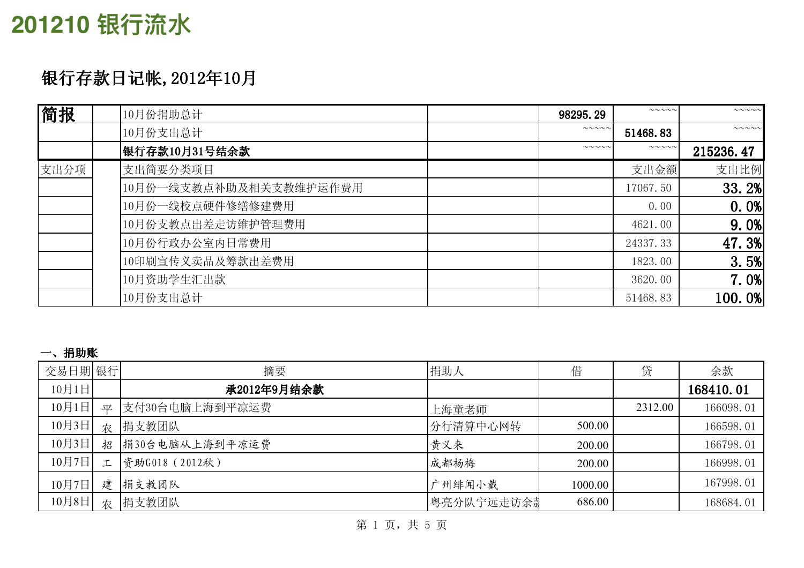## 201210 银行流水

### 银行存款日记帐,2012年10月

| 简报   | 10月份捐助总计               | 98295.29               | $\sim\sim\sim\sim\sim$ | $\sim\sim\sim\sim\sim$ |
|------|------------------------|------------------------|------------------------|------------------------|
|      | 10月份支出总计               | $\sim\sim\sim\sim\sim$ | 51468.83               | $\sim\sim\sim\sim\sim$ |
|      | 银行存款10月31号结余款          | $\sim\sim\sim\sim$     | $\sim\sim\sim\sim\sim$ | 215236.47              |
| 支出分项 | 支出简要分类项目               |                        | 支出金额                   | 支出比例                   |
|      | 10月份一线支教点补助及相关支教维护运作费用 |                        | 17067.50               | 33.2%                  |
|      | 10月份一线校点硬件修缮修建费用       |                        | 0.00                   | 0.0%                   |
|      | 10月份支教点出差走访维护管理费用      |                        | 4621.00                | 9.0%                   |
|      | 10月份行政办公室内日常费用         |                        | 24337.33               | 47.3%                  |
|      | 10印刷宣传义卖品及筹款出差费用       |                        | 1823.00                | 3.5%                   |
|      | 10月资助学生汇出款             |                        | 3620.00                | 7.0%                   |
|      | 10月份支出总计               |                        | 51468.83               | 100.0%                 |

#### 一、捐助账

| 交易日期 银行 |        | 摘要             | 捐助人        | 借       | 贷       | 余款        |
|---------|--------|----------------|------------|---------|---------|-----------|
| 10月1日   |        | 承2012年9月结余款    |            |         |         | 168410.01 |
| 10月1日   | 平      | 支付30台电脑上海到平凉运费 | 上海童老师      |         | 2312.00 | 166098.01 |
| 10月3日   | 农      | 捐支教团队          | 分行清算中心网转   | 500.00  |         | 166598.01 |
| 10月3日   | 招      | 捐30台电脑从上海到平凉运费 | 黄义来        | 200.00  |         | 166798.01 |
| 10月7日   | $\tau$ | 资助G018 (2012秋) | 成都杨梅       | 200.00  |         | 166998.01 |
| 10月7日   | 建      | 捐支教团队          | 广州绯闻小戴     | 1000.00 |         | 167998.01 |
| 10月8日   | 农      | 捐支教团队          | 粤亮分队宁远走访余萧 | 686.00  |         | 168684.01 |

第1页,共5页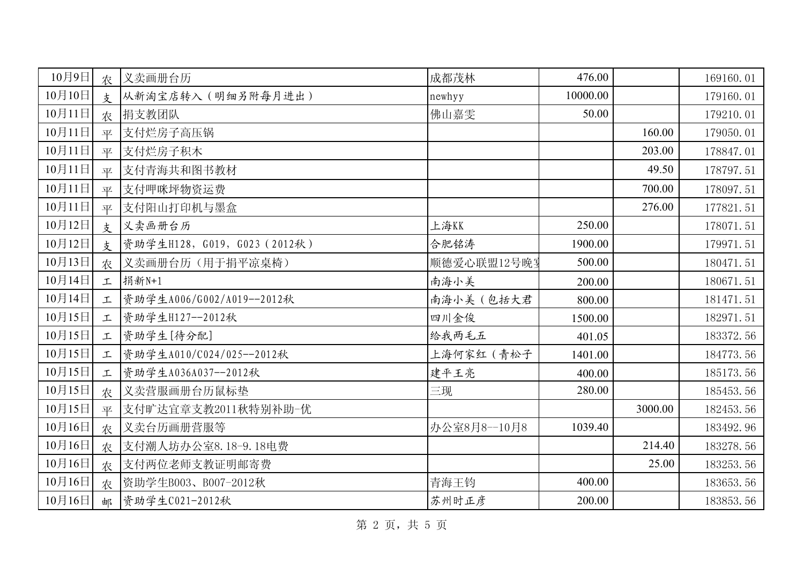| 10月9日  | 农             | 义卖画册台历                       | 成都茂林         | 476.00   |         | 169160.01 |
|--------|---------------|------------------------------|--------------|----------|---------|-----------|
| 10月10日 | $\frac{1}{2}$ | 从新淘宝店转入(明细另附每月进出)            | newhyy       | 10000.00 |         | 179160.01 |
| 10月11日 | 农             | 捐支教团队                        | 佛山嘉雯         | 50.00    |         | 179210.01 |
| 10月11日 | 平             | 支付烂房子高压锅                     |              |          | 160.00  | 179050.01 |
| 10月11日 | 平             | 支付烂房子积木                      |              |          | 203.00  | 178847.01 |
| 10月11日 | 平             | 支付青海共和图书教材                   |              |          | 49.50   | 178797.51 |
| 10月11日 | 平             | 支付呷咪坪物资运费                    |              |          | 700.00  | 178097.51 |
| 10月11日 | 平             | 支付阳山打印机与墨盒                   |              |          | 276.00  | 177821.51 |
| 10月12日 | 支             | 义卖画册台历                       | 上海KK         | 250.00   |         | 178071.51 |
| 10月12日 | $\frac{1}{2}$ | 资助学生H128, G019, G023 (2012秋) | 合肥铭涛         | 1900.00  |         | 179971.51 |
| 10月13日 | 农             | 义卖画册台历(用于捐平凉桌椅)              | 顺德爱心联盟12号晚星  | 500.00   |         | 180471.51 |
| 10月14日 | 工             | 捐新N+1                        | 南海小美         | 200.00   |         | 180671.51 |
| 10月14日 | 工             | 资助学生A006/G002/A019--2012秋    | 南海小美(包括大君    | 800.00   |         | 181471.51 |
| 10月15日 | 工             | 资助学生H127 -- 2012秋            | 四川金俊         | 1500.00  |         | 182971.51 |
| 10月15日 | 工             | 资助学生[待分配]                    | 给我两毛五        | 401.05   |         | 183372.56 |
| 10月15日 | 工             | 资助学生A010/C024/025--2012秋     | 上海何家红 (青松子   | 1401.00  |         | 184773.56 |
| 10月15日 | 工             | 资助学生A036A037--2012秋          | 建平王亮         | 400.00   |         | 185173.56 |
| 10月15日 | 农             | 义卖营服画册台历鼠标垫                  | 三现           | 280.00   |         | 185453.56 |
| 10月15日 | 平             | 支付旷达宜章支教2011秋特别补助-优          |              |          | 3000.00 | 182453.56 |
| 10月16日 | 农             | 义卖台历画册营服等                    | 办公室8月8--10月8 | 1039.40  |         | 183492.96 |
| 10月16日 | 农             | 支付潮人坊办公室8.18-9.18电费          |              |          | 214.40  | 183278.56 |
| 10月16日 | 农             | 支付两位老师支教证明邮寄费                |              |          | 25.00   | 183253.56 |
| 10月16日 | 农             | 资助学生B003、B007-2012秋          | 青海王钧         | 400.00   |         | 183653.56 |
| 10月16日 | 邮             | 资助学生C021-2012秋               | 苏州时正彦        | 200.00   |         | 183853.56 |

第 2 页, 共 5 页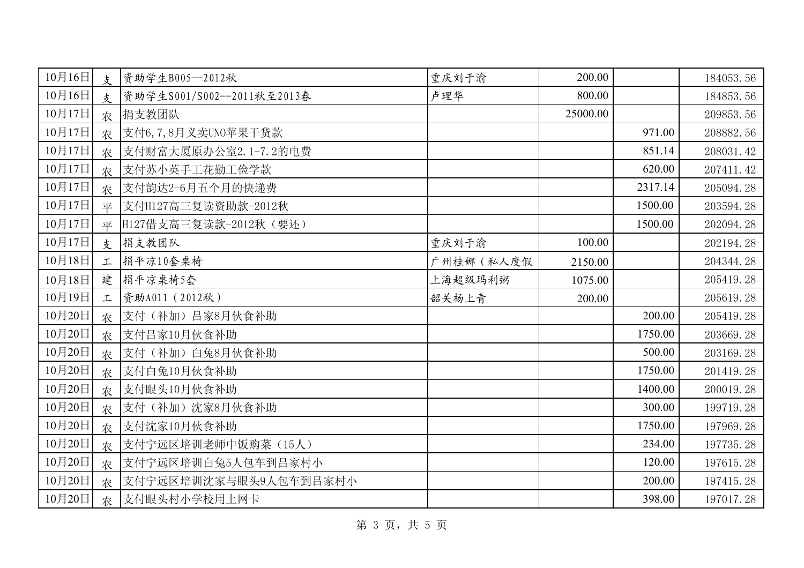| 10月16日 | 支             | 资助学生B005--2012秋            | 重庆刘于渝      | 200.00   |         | 184053.56 |
|--------|---------------|----------------------------|------------|----------|---------|-----------|
| 10月16日 | $\frac{1}{2}$ | 资助学生S001/S002--2011秋至2013春 | 卢理华        | 800.00   |         | 184853.56 |
| 10月17日 | 农             | 捐支教团队                      |            | 25000.00 |         | 209853.56 |
| 10月17日 | 农             | 支付6,7,8月义卖UNO苹果干货款         |            |          | 971.00  | 208882.56 |
| 10月17日 | 农             | 支付财富大厦原办公室2.1-7.2的电费       |            |          | 851.14  | 208031.42 |
| 10月17日 | 农             | 支付苏小英手工花勤工俭学款              |            |          | 620.00  | 207411.42 |
| 10月17日 | 农             | 支付韵达2-6月五个月的快递费            |            |          | 2317.14 | 205094.28 |
| 10月17日 | 平             | 支付H127高三复读资助款-2012秋        |            |          | 1500.00 | 203594.28 |
| 10月17日 | 平             | H127借支高三复读款-2012秋 (要还)     |            |          | 1500.00 | 202094.28 |
| 10月17日 | $\frac{1}{2}$ | 捐支教团队                      | 重庆刘于渝      | 100.00   |         | 202194.28 |
| 10月18日 | 工             | 捐平凉10套桌椅                   | 广州桂娜 (私人度假 | 2150.00  |         | 204344.28 |
| 10月18日 | 建             | 捐平凉桌椅5套                    | 上海超级玛利粥    | 1075.00  |         | 205419.28 |
| 10月19日 | 工             | 资助A011 (2012秋)             | 韶关杨上青      | 200.00   |         | 205619.28 |
| 10月20日 | 农             | 支付(补加)吕家8月伙食补助             |            |          | 200.00  | 205419.28 |
| 10月20日 | 农             | 支付吕家10月伙食补助                |            |          | 1750.00 | 203669.28 |
| 10月20日 | 农             | 支付(补加)白兔8月伙食补助             |            |          | 500.00  | 203169.28 |
| 10月20日 | 农             | 支付白兔10月伙食补助                |            |          | 1750.00 | 201419.28 |
| 10月20日 | 农             | 支付眼头10月伙食补助                |            |          | 1400.00 | 200019.28 |
| 10月20日 | 农             | 支付(补加)沈家8月伙食补助             |            |          | 300.00  | 199719.28 |
| 10月20日 | 农             | 支付沈家10月伙食补助                |            |          | 1750.00 | 197969.28 |
| 10月20日 | 农             | 支付宁远区培训老师中饭购菜(15人)         |            |          | 234.00  | 197735.28 |
| 10月20日 | 农             | 支付宁远区培训白兔5人包车到吕家村小         |            |          | 120.00  | 197615.28 |
| 10月20日 | 农             | 支付宁远区培训沈家与眼头9人包车到吕家村小      |            |          | 200.00  | 197415.28 |
| 10月20日 | 农             | 支付眼头村小学校用上网卡               |            |          | 398.00  | 197017.28 |

第 3 页, 共 5 页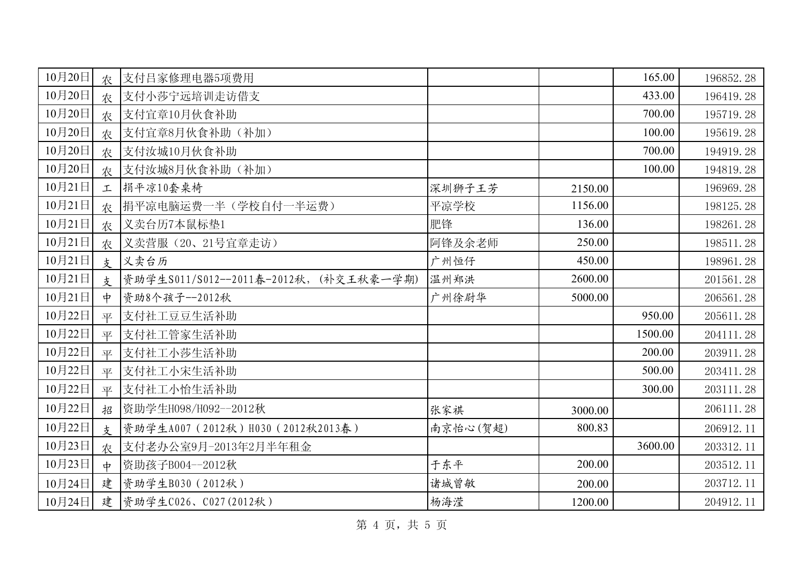| 10月20日 | 农             | 支付吕家修理电器5项费用                           |          |         | 165.00  | 196852.28 |
|--------|---------------|----------------------------------------|----------|---------|---------|-----------|
| 10月20日 | 农             | 支付小莎宁远培训走访借支                           |          |         | 433.00  | 196419.28 |
| 10月20日 | 农             | 支付宜章10月伙食补助                            |          |         | 700.00  | 195719.28 |
| 10月20日 | 农             | 支付宜章8月伙食补助(补加)                         |          |         | 100.00  | 195619.28 |
| 10月20日 | 农             | 支付汝城10月伙食补助                            |          |         | 700.00  | 194919.28 |
| 10月20日 | 农             | 支付汝城8月伙食补助(补加)                         |          |         | 100.00  | 194819.28 |
| 10月21日 | 工             | 捐平凉10套桌椅                               | 深圳狮子王芳   | 2150.00 |         | 196969.28 |
| 10月21日 | 农             | 捐平凉电脑运费一半(学校自付一半运费)                    | 平凉学校     | 1156.00 |         | 198125.28 |
| 10月21日 | 农             | 义卖台历7本鼠标垫1                             | 肥锋       | 136.00  |         | 198261.28 |
| 10月21日 | 农             | 义卖营服(20、21号宜章走访)                       | 阿锋及余老师   | 250.00  |         | 198511.28 |
| 10月21日 | 支             | 义卖台历                                   | 广州恒仔     | 450.00  |         | 198961.28 |
| 10月21日 | $\frac{1}{2}$ | 资助学生S011/S012--2011春-2012秋, (补交王秋豪一学期) | 温州郑洪     | 2600.00 |         | 201561.28 |
| 10月21日 | 中             | 资助8个孩子--2012秋                          | 广州徐尉华    | 5000.00 |         | 206561.28 |
| 10月22日 | 平             | 支付社工豆豆生活补助                             |          |         | 950.00  | 205611.28 |
| 10月22日 | 平             | 支付社工管家生活补助                             |          |         | 1500.00 | 204111.28 |
| 10月22日 | 平             | 支付社工小莎生活补助                             |          |         | 200.00  | 203911.28 |
| 10月22日 | 平             | 支付社工小宋生活补助                             |          |         | 500.00  | 203411.28 |
| 10月22日 | 平             | 支付社工小怡生活补助                             |          |         | 300.00  | 203111.28 |
| 10月22日 | 招             | 资助学生H098/H092--2012秋                   | 张家祺      | 3000.00 |         | 206111.28 |
| 10月22日 | 支             | 资助学生A007 (2012秋) H030 (2012秋2013春)     | 南京怡心(贺超) | 800.83  |         | 206912.11 |
| 10月23日 | 农             | 支付老办公室9月-2013年2月半年租金                   |          |         | 3600.00 | 203312.11 |
| 10月23日 | $\frac{1}{2}$ | 资助孩子B004--2012秋                        | 于东平      | 200.00  |         | 203512.11 |
| 10月24日 | 建             | 资助学生B030 (2012秋)                       | 诸城曾敏     | 200.00  |         | 203712.11 |
| 10月24日 |               | 建 资助学生C026、C027(2012秋)                 | 杨海滢      | 1200.00 |         | 204912.11 |

第 4 页, 共 5 页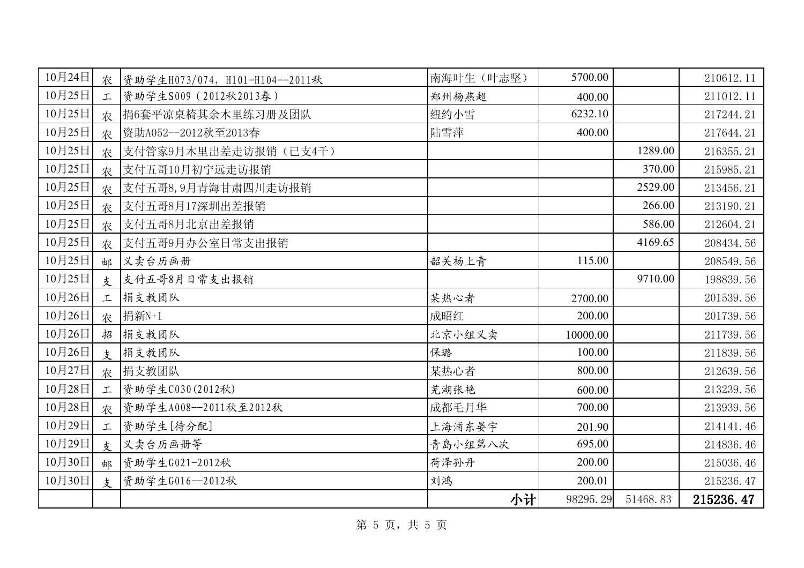| 10月24日 |               | 农 资助学生H073/074, H101-H104--2011秋 | 南海叶生 (叶志坚) | 5700.00  |          | 210612.11 |
|--------|---------------|----------------------------------|------------|----------|----------|-----------|
| 10月25日 | 工             | 资助学生S009 (2012秋2013春)            | 郑州杨燕超      | 400.00   |          | 211012.11 |
| 10月25日 | 农             | 捐6套平凉桌椅其余木里练习册及团队                | 纽约小雪       | 6232.10  |          | 217244.21 |
| 10月25日 | 农             | 资助A052--2012秋至2013春              | 陆雪萍        | 400.00   |          | 217644.21 |
| 10月25日 | 农             | 支付管家9月木里出差走访报销(已支4千)             |            |          | 1289.00  | 216355.21 |
| 10月25日 | 农             | 支付五哥10月初宁远走访报销                   |            |          | 370.00   | 215985.21 |
| 10月25日 | 农             | 支付五哥8,9月青海甘肃四川走访报销               |            |          | 2529.00  | 213456.21 |
| 10月25日 | 农             | 支付五哥8月17深圳出差报销                   |            |          | 266.00   | 213190.21 |
| 10月25日 | 农             | 支付五哥8月北京出差报销                     |            |          | 586.00   | 212604.21 |
| 10月25日 | 农             | 支付五哥9月办公室日常支出报销                  |            |          | 4169.65  | 208434.56 |
| 10月25日 | 邮             | 义卖台历画册                           | 韶关杨上青      | 115.00   |          | 208549.56 |
| 10月25日 | $\frac{1}{2}$ | 支付五哥8月日常支出报销                     |            |          | 9710.00  | 198839.56 |
| 10月26日 | 工             | 捐支教团队                            | 某热心者       | 2700.00  |          | 201539.56 |
| 10月26日 | 农             | 捐新N+1                            | 成昭红        | 200.00   |          | 201739.56 |
| 10月26日 | 招             | 捐支教团队                            | 北京小组义卖     | 10000.00 |          | 211739.56 |
| 10月26日 | $\frac{1}{2}$ | 捐支教团队                            | 保璐         | 100.00   |          | 211839.56 |
| 10月27日 | 农             | 捐支教团队                            | 某热心者       | 800.00   |          | 212639.56 |
| 10月28日 | 工             | 资助学生C030(2012秋)                  | 芜湖张艳       | 600.00   |          | 213239.56 |
| 10月28日 | 农             | 资助学生A008--2011秋至2012秋            | 成都毛月华      | 700.00   |          | 213939.56 |
| 10月29日 | 工             | 资助学生[待分配]                        | 上海浦东晏宇     | 201.90   |          | 214141.46 |
| 10月29日 | 支             | 义卖台历画册等                          | 青岛小组第八次    | 695.00   |          | 214836.46 |
| 10月30日 | 邮             | 资助学生G021-2012秋                   | 荷泽孙丹       | 200.00   |          | 215036.46 |
| 10月30日 | 支             | 资助学生G016 -- 2012秋                | 刘鸿         | 200.01   |          | 215236.47 |
|        |               |                                  | 小计         | 98295.29 | 51468.83 | 215236.47 |

第 5 页, 共 5 页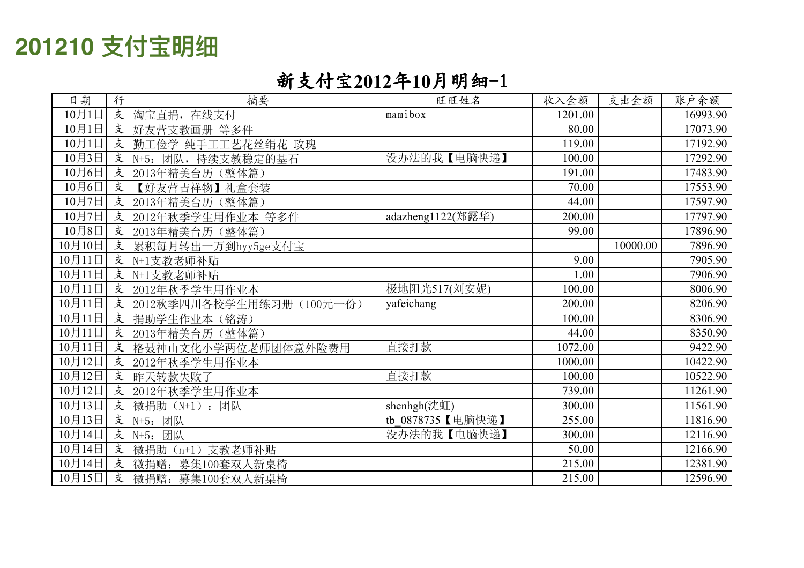# 201210 支付宝明细

### 新支付宝2012年10月明细-1

| 日期     | 行 | 摘要                          | 旺旺姓名              | 收入金额    | 支出金额     | 账户余额     |
|--------|---|-----------------------------|-------------------|---------|----------|----------|
| 10月1日  | 支 | 淘宝直捐,<br>在线支付               | mamibox           | 1201.00 |          | 16993.90 |
| 10月1日  | 支 | 好友营支教画册 等多件                 |                   | 80.00   |          | 17073.90 |
| 10月1日  | 支 | 勤工俭学 纯手工工艺花丝绢花 玫瑰           |                   | 119.00  |          | 17192.90 |
| 10月3日  | 支 | $N+5$ :<br>团队,<br>持续支教稳定的基石 | 没办法的我【电脑快递】       | 100.00  |          | 17292.90 |
| 10月6日  | 支 | 2013年精美台历(整体篇)              |                   | 191.00  |          | 17483.90 |
| 10月6日  | 支 | 【好友营吉祥物】礼盒套装                |                   | 70.00   |          | 17553.90 |
| 10月7日  | 支 | 2013年精美台历(整体篇)              |                   | 44.00   |          | 17597.90 |
| 10月7日  | 支 | 2012年秋季学生用作业本 等多件           | adazheng1122(郑露华) | 200.00  |          | 17797.90 |
| 10月8日  | 支 | 2013年精美台历(整体篇)              |                   | 99.00   |          | 17896.90 |
| 10月10日 | 支 | 累积每月转出一万到hyy5ge支付宝          |                   |         | 10000.00 | 7896.90  |
| 10月11日 | 支 | N+1支教老师补贴                   |                   | 9.00    |          | 7905.90  |
| 10月11日 | 支 | N+1支教老师补贴                   |                   | 1.00    |          | 7906.90  |
| 10月11日 | 支 | 2012年秋季学生用作业本               | 极地阳光517(刘安妮)      | 100.00  |          | 8006.90  |
| 10月11日 | 支 | 2012秋季四川各校学生用练习册(100元一份)    | yafeichang        | 200.00  |          | 8206.90  |
| 10月11日 | 支 | 捐助学生作业本(铭涛)                 |                   | 100.00  |          | 8306.90  |
| 10月11日 | 支 | 2013年精美台历(整体篇)              |                   | 44.00   |          | 8350.90  |
| 10月11日 | 支 | 格聂神山文化小学两位老师团体意外险费用         | 直接打款              | 1072.00 |          | 9422.90  |
| 10月12日 | 支 | 2012年秋季学生用作业本               |                   | 1000.00 |          | 10422.90 |
| 10月12日 | 支 | 昨天转款失败了                     | 直接打款              | 100.00  |          | 10522.90 |
| 10月12日 | 支 | 2012年秋季学生用作业本               |                   | 739.00  |          | 11261.90 |
| 10月13日 | 支 | 微捐助 (N+1): 团队               | shenhgh(沈虹)       | 300.00  |          | 11561.90 |
| 10月13日 | 支 | N+5: 团队                     | tb 0878735【电脑快递】  | 255.00  |          | 11816.90 |
| 10月14日 | 支 | N+5: 团队                     | 没办法的我【电脑快递】       | 300.00  |          | 12116.90 |
| 10月14日 | 支 | 微捐助 (n+1) 支教老师补贴            |                   | 50.00   |          | 12166.90 |
| 10月14日 | 支 | 微捐赠:<br>募集100套双人新桌椅         |                   | 215.00  |          | 12381.90 |
| 10月15日 | 支 | 微捐赠: 募集100套双人新桌椅            |                   | 215.00  |          | 12596.90 |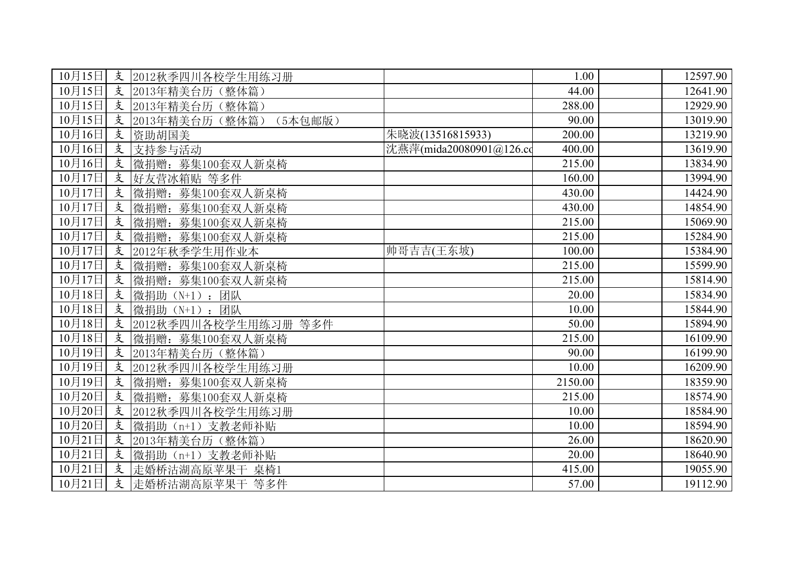| 10月15日                | 支 | 2012秋季四川各校学生用练习册          |                         | 1.00    | 12597.90 |
|-----------------------|---|---------------------------|-------------------------|---------|----------|
| 10月15日                | 支 | 2013年精美台历<br>(整体篇)        |                         | 44.00   | 12641.90 |
| 10月15日                | 支 | 2013年精美台历(整体篇)            |                         | 288.00  | 12929.90 |
| 10月15日                | 支 | 2013年精美台历(整体篇)<br>(5本包邮版) |                         | 90.00   | 13019.90 |
| 10月16日                | 支 | 资助胡国美                     | 朱晓波(13516815933)        | 200.00  | 13219.90 |
| 10月16日                | 支 | 支持参与活动                    | 沈燕萍(mida20080901@126.co | 400.00  | 13619.90 |
| 10月16日                | 支 | 微捐赠: 募集100套双人新桌椅          |                         | 215.00  | 13834.90 |
| 10月17日                | 支 | 好友营冰箱贴 等多件                |                         | 160.00  | 13994.90 |
| 10月17日                | 支 | 微捐赠: 募集100套双人新桌椅          |                         | 430.00  | 14424.90 |
| 10月17日                | 支 | 微捐赠:<br>募集100套双人新桌椅       |                         | 430.00  | 14854.90 |
| 10月17日                | 支 | 微捐赠:<br>募集100套双人新桌椅       |                         | 215.00  | 15069.90 |
| 10月17日                | 支 | 微捐赠:<br>募集100套双人新桌椅       |                         | 215.00  | 15284.90 |
| $\overline{10}$ 月17日  | 支 | 2012年秋季学生用作业本             | 帅哥吉吉(王东坡)               | 100.00  | 15384.90 |
| 10月17日                | 支 | 微捐赠:<br>募集100套双人新桌椅       |                         | 215.00  | 15599.90 |
| 10月17日                | 支 | 微捐赠:<br>募集100套双人新桌椅       |                         | 215.00  | 15814.90 |
| 10月18日                | 支 | 微捐助<br>团队<br>$(N+1)$ :    |                         | 20.00   | 15834.90 |
| 10月18日                | 支 | 微捐助 (N+1):<br>团队          |                         | 10.00   | 15844.90 |
| 10月18日                | 支 | 2012秋季四川各校学生用练习册 等多件      |                         | 50.00   | 15894.90 |
| 10月18日                | 支 | 微捐赠: 募集100套双人新桌椅          |                         | 215.00  | 16109.90 |
| 10月19日                | 支 | 2013年精美台历(整体篇)            |                         | 90.00   | 16199.90 |
| 10月19日                | 支 | 2012秋季四川各校学生用练习册          |                         | 10.00   | 16209.90 |
| 10月19日                | 支 | 微捐赠: 募集100套双人新桌椅          |                         | 2150.00 | 18359.90 |
| 10月20日                | 支 | 微捐赠: 募集100套双人新桌椅          |                         | 215.00  | 18574.90 |
| 10月20日                | 支 | 2012秋季四川各校学生用练习册          |                         | 10.00   | 18584.90 |
| 10月20日                | 支 | 微捐助 (n+1) 支教老师补贴          |                         | 10.00   | 18594.90 |
| 10月21日                | 支 | 2013年精美台历(整体篇)            |                         | 26.00   | 18620.90 |
| $10\overline{)121}$ 日 | 支 | 微捐助 (n+1) 支教老师补贴          |                         | 20.00   | 18640.90 |
| 10月21日                | 支 | 走婚桥沽湖高原苹果干 桌椅1            |                         | 415.00  | 19055.90 |
| 10月21日                | 支 | 走婚桥沽湖高原苹果干<br>等多件         |                         | 57.00   | 19112.90 |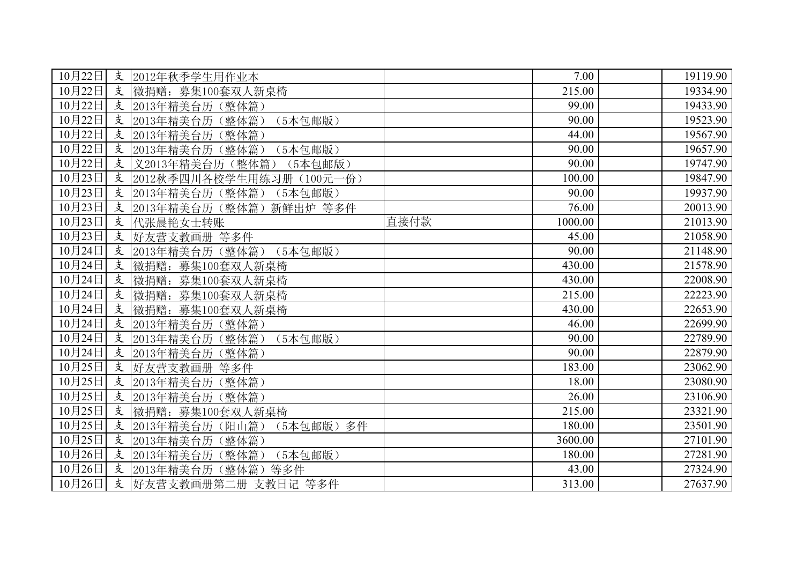| 10月22日               | 支 | 2012年秋季学生用作业本               |      | 7.00    | 19119.90 |
|----------------------|---|-----------------------------|------|---------|----------|
| 10月22日               | 支 | 微捐赠: 募集100套双人新桌椅            |      | 215.00  | 19334.90 |
| 10月22日               | 支 | 2013年精美台历(整体篇)              |      | 99.00   | 19433.90 |
| $\overline{10}$ 月22日 | 支 | 2013年精美台历 (整体篇)<br>(5本包邮版)  |      | 90.00   | 19523.90 |
| 10月22日               | 支 | 2013年精美台历(整体篇)              |      | 44.00   | 19567.90 |
| 10月22日               | 支 | 2013年精美台历(整体篇)<br>(5本包邮版)   |      | 90.00   | 19657.90 |
| 10月22日               | 支 | 义2013年精美台历(整体篇)<br>(5本包邮版)  |      | 90.00   | 19747.90 |
| 10月23日               | 支 | 2012秋季四川各校学生用练习册(100元一份)    |      | 100.00  | 19847.90 |
| 10月23日               | 支 | 2013年精美台历(整体篇)<br>(5本包邮版)   |      | 90.00   | 19937.90 |
| 10月23日               | 支 | 2013年精美台历(整体篇)<br>新鲜出炉 等多件  |      | 76.00   | 20013.90 |
| 10月23日               | 支 | 代张晨艳女士转账                    | 直接付款 | 1000.00 | 21013.90 |
| 10月23日               | 支 | 好友营支教画册 等多件                 |      | 45.00   | 21058.90 |
| $\overline{10}$ 月24日 | 支 | 2013年精美台历(整体篇)<br>(5本包邮版)   |      | 90.00   | 21148.90 |
| 10月24日               | 支 | 微捐赠: 募集100套双人新桌椅            |      | 430.00  | 21578.90 |
| 10月24日               | 支 | 微捐赠:<br>募集100套双人新桌椅         |      | 430.00  | 22008.90 |
| 10月24日               | 支 | 微捐赠: 募集100套双人新桌椅            |      | 215.00  | 22223.90 |
| 10月24日               | 支 | 微捐赠: 募集100套双人新桌椅            |      | 430.00  | 22653.90 |
| 10月24日               | 支 | 2013年精美台历(整体篇)              |      | 46.00   | 22699.90 |
| 10月24日               | 支 | 2013年精美台历(整体篇)<br>(5本包邮版)   |      | 90.00   | 22789.90 |
| 10月24日               | 支 | 2013年精美台历<br>(整体篇)          |      | 90.00   | 22879.90 |
| 10月25日               | 支 | 好友营支教画册 等多件                 |      | 183.00  | 23062.90 |
| 10月25日               | 支 | 2013年精美台历(整体篇)              |      | 18.00   | 23080.90 |
| 10月25日               | 支 | 2013年精美台历(整体篇)              |      | 26.00   | 23106.90 |
| 10月25日               | 支 | 微捐赠: 募集100套双人新桌椅            |      | 215.00  | 23321.90 |
| 10月25日               | 支 | 2013年精美台历(阳山篇)<br>(5本包邮版)多件 |      | 180.00  | 23501.90 |
| 10月25日               | 支 | 2013年精美台历(整体篇)              |      | 3600.00 | 27101.90 |
| 10月26日               | 支 | 2013年精美台历(整体篇)<br>(5本包邮版)   |      | 180.00  | 27281.90 |
| 10月26日               | 支 | 2013年精美台历 (整体篇)<br>等多件      |      | 43.00   | 27324.90 |
| 10月26日               | 支 | 好友营支教画册第二册 支教日记 等多件         |      | 313.00  | 27637.90 |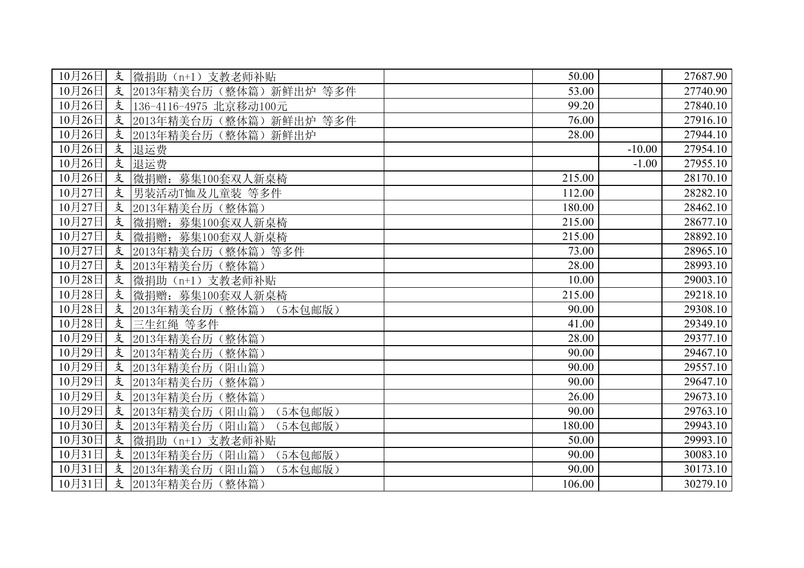| 10月26日                                           | 支 | 微捐助 (n+1) 支教老师补贴              | 50.00  |          | 27687.90 |
|--------------------------------------------------|---|-------------------------------|--------|----------|----------|
| 10月26日                                           | 支 | 2013年精美台历 (整体篇) 新鲜出炉 等多件      | 53.00  |          | 27740.90 |
| 10月26日                                           | 支 | 136-4116-4975 北京移动100元        | 99.20  |          | 27840.10 |
| 10月26日                                           | 支 | 2013年精美台历(整体篇)新鲜出炉 等多件        | 76.00  |          | 27916.10 |
| 10月26日                                           | 支 | 2013年精美台历(整体篇)<br>新鲜出炉        | 28.00  |          | 27944.10 |
| 10月26日                                           | 支 | 退运费                           |        | $-10.00$ | 27954.10 |
| 10月26日                                           | 支 | 退运费                           |        | $-1.00$  | 27955.10 |
| 10月26日                                           | 支 | 微捐赠:<br>募集100套 <u>双人新桌椅</u>   | 215.00 |          | 28170.10 |
| 10月27日                                           | 支 | 男装活动T恤及儿童装 等多件                | 112.00 |          | 28282.10 |
| 10月27日                                           | 支 | 2013年精美台历(整体篇)                | 180.00 |          | 28462.10 |
| 10月27日                                           | 支 | 微捐赠: 募集100套双人新桌椅              | 215.00 |          | 28677.10 |
| 10月27日                                           | 支 | 微捐赠: 募集100套双人新桌椅              | 215.00 |          | 28892.10 |
| 10月27日                                           | 支 | 2013年精美台历(整体篇)<br>等多件         | 73.00  |          | 28965.10 |
| $\overline{10}$ 月27日                             | 支 | 2013年精美台历(整体篇)                | 28.00  |          | 28993.10 |
| 10月28日                                           | 支 | 微捐助 (n+1) 支教老师补贴              | 10.00  |          | 29003.10 |
| $10\overline{\cancel{+}}28\overline{\cancel{+}}$ | 支 | 微捐赠: 募集100套双人新桌椅              | 215.00 |          | 29218.10 |
| 10月28日                                           | 支 | 2013年精美台历 (整体篇)<br>(5本包邮版)    | 90.00  |          | 29308.10 |
| 10月28日                                           | 支 | 三生红绳 等多件                      | 41.00  |          | 29349.10 |
| 10月29日                                           | 支 | 2013年精美台历(整体篇)                | 28.00  |          | 29377.10 |
| 10月29日                                           | 支 | 2013年精美台历<br>(整体篇)            | 90.00  |          | 29467.10 |
| 10月29日                                           | 支 | 2013年精美台历<br>(阳山篇)            | 90.00  |          | 29557.10 |
| 10月29日                                           | 支 | 2013年精美台历 (整体篇)               | 90.00  |          | 29647.10 |
| 10月29日                                           | 支 | 2013年精美台历(整体篇)                | 26.00  |          | 29673.10 |
| 10月29日                                           | 支 | 2013年精美台历(阳山篇)<br>(5本包邮版)     | 90.00  |          | 29763.10 |
| 10月30日                                           | 支 | 2013年精美台历(阳山篇)<br>(5本包邮版)     | 180.00 |          | 29943.10 |
| 10月30日                                           | 支 | 微捐助 (n+1) 支教老师补贴              | 50.00  |          | 29993.10 |
| 10月31日                                           | 支 | 2013年精美台历(阳山篇)<br>(5本包邮版)     | 90.00  |          | 30083.10 |
| 10月31日                                           | 支 | 2013年精美台历<br>(阳山篇)<br>(5本包邮版) | 90.00  |          | 30173.10 |
| 10月31日                                           | 支 | 2013年精美台历(整体篇)                | 106.00 |          | 30279.10 |